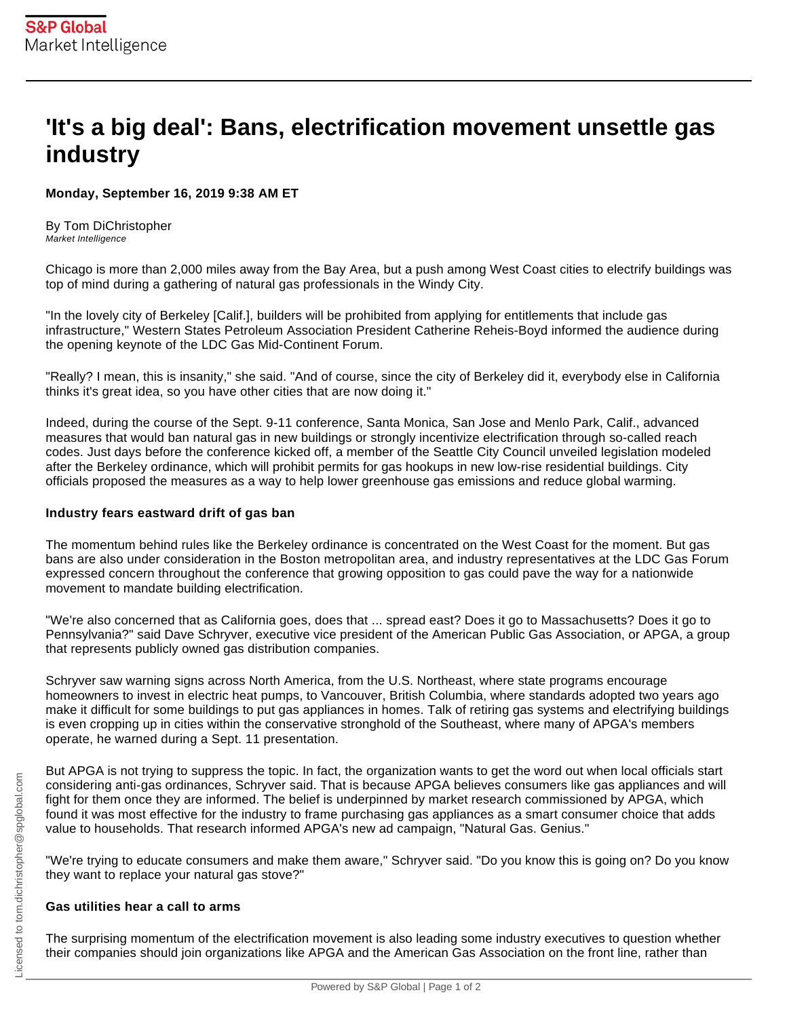## **'It's a big deal': Bans, electrification movement unsettle gas industry**

**Monday, September 16, 2019 9:38 AM ET** 

By Tom DiChristopher Market Intelligence

Chicago is more than 2,000 miles away from the Bay Area, but a push among West Coast cities to electrify buildings was top of mind during a gathering of natural gas professionals in the Windy City.

"In the lovely city of Berkeley [Calif.], builders will be prohibited from applying for entitlements that include gas infrastructure," Western States Petroleum Association President Catherine Reheis-Boyd informed the audience during the opening keynote of the LDC Gas Mid-Continent Forum.

"Really? I mean, this is insanity," she said. "And of course, since the city of Berkeley did it, everybody else in California thinks it's great idea, so you have other cities that are now doing it."

Indeed, during the course of the Sept. 9-11 conference, Santa Monica, San Jose and Menlo Park, Calif., advanced measures that would ban natural gas in new buildings or strongly incentivize electrification through so-called reach codes. Just days before the conference kicked off, a member of the Seattle City Council unveiled legislation modeled after the Berkeley ordinance, which will prohibit permits for gas hookups in new low-rise residential buildings. City officials proposed the measures as a way to help lower greenhouse gas emissions and reduce global warming.

## **Industry fears eastward drift of gas ban**

The momentum behind rules like the Berkeley ordinance is concentrated on the West Coast for the moment. But gas bans are also under consideration in the Boston metropolitan area, and industry representatives at the LDC Gas Forum expressed concern throughout the conference that growing opposition to gas could pave the way for a nationwide movement to mandate building electrification.

"We're also concerned that as California goes, does that ... spread east? Does it go to Massachusetts? Does it go to Pennsylvania?" said Dave Schryver, executive vice president of the American Public Gas Association, or APGA, a group that represents publicly owned gas distribution companies.

Schryver saw warning signs across North America, from the U.S. Northeast, where state programs encourage homeowners to invest in electric heat pumps, to Vancouver, British Columbia, where standards adopted two years ago make it difficult for some buildings to put gas appliances in homes. Talk of retiring gas systems and electrifying buildings is even cropping up in cities within the conservative stronghold of the Southeast, where many of APGA's members operate, he warned during a Sept. 11 presentation.

But APGA is not trying to suppress the topic. In fact, the organization wants to get the word out when local officials start considering anti-gas ordinances, Schryver said. That is because APGA believes consumers like gas appliances and will fight for them once they are informed. The belief is underpinned by market research commissioned by APGA, which found it was most effective for the industry to frame purchasing gas appliances as a smart consumer choice that adds value to households. That research informed APGA's new ad campaign, "Natural Gas. Genius."

"We're trying to educate consumers and make them aware," Schryver said. "Do you know this is going on? Do you know they want to replace your natural gas stove?"

## **Gas utilities hear a call to arms**

The surprising momentum of the electrification movement is also leading some industry executives to question whether their companies should join organizations like APGA and the American Gas Association on the front line, rather than